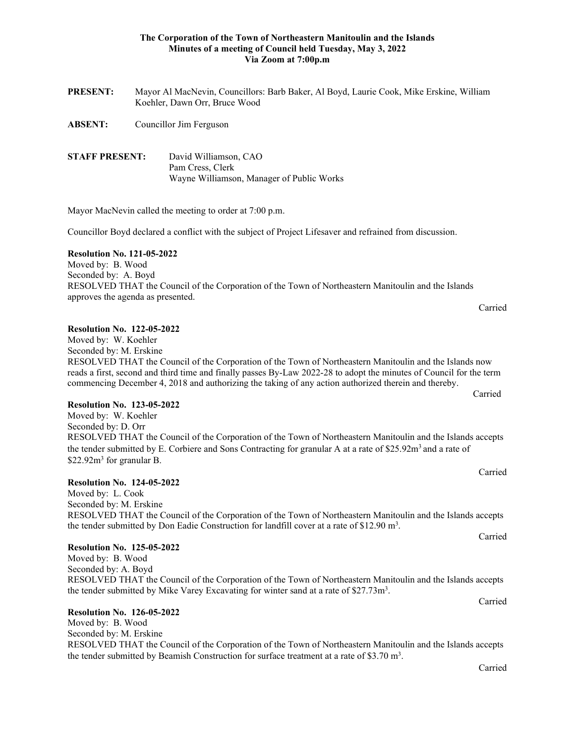### **The Corporation of the Town of Northeastern Manitoulin and the Islands Minutes of a meeting of Council held Tuesday, May 3, 2022 Via Zoom at 7:00p.m**

| <b>PRESENT:</b>       | Mayor Al MacNevin, Councillors: Barb Baker, Al Boyd, Laurie Cook, Mike Erskine, William<br>Koehler, Dawn Orr, Bruce Wood |                                                                                        |
|-----------------------|--------------------------------------------------------------------------------------------------------------------------|----------------------------------------------------------------------------------------|
| ABSENT:               |                                                                                                                          | Councillor Jim Ferguson                                                                |
| <b>STAFF PRESENT:</b> |                                                                                                                          | David Williamson, CAO<br>Pam Cress, Clerk<br>Wayne Williamson, Manager of Public Works |

Mayor MacNevin called the meeting to order at 7:00 p.m.

Councillor Boyd declared a conflict with the subject of Project Lifesaver and refrained from discussion.

#### **Resolution No. 121-05-2022**

Moved by: B. Wood Seconded by: A. Boyd RESOLVED THAT the Council of the Corporation of the Town of Northeastern Manitoulin and the Islands approves the agenda as presented.

#### **Resolution No. 122-05-2022**

Moved by: W. Koehler

Seconded by: M. Erskine

RESOLVED THAT the Council of the Corporation of the Town of Northeastern Manitoulin and the Islands now reads a first, second and third time and finally passes By-Law 2022-28 to adopt the minutes of Council for the term commencing December 4, 2018 and authorizing the taking of any action authorized therein and thereby. Carried

#### **Resolution No. 123-05-2022**

Moved by: W. Koehler Seconded by: D. Orr RESOLVED THAT the Council of the Corporation of the Town of Northeastern Manitoulin and the Islands accepts the tender submitted by E. Corbiere and Sons Contracting for granular A at a rate of \$25.92m<sup>3</sup> and a rate of \$22.92m<sup>3</sup> for granular B.

# **Resolution No. 124-05-2022**

Moved by: L. Cook Seconded by: M. Erskine RESOLVED THAT the Council of the Corporation of the Town of Northeastern Manitoulin and the Islands accepts the tender submitted by Don Eadie Construction for landfill cover at a rate of \$12.90  $m^3$ .

# **Resolution No. 125-05-2022**

Moved by: B. Wood Seconded by: A. Boyd RESOLVED THAT the Council of the Corporation of the Town of Northeastern Manitoulin and the Islands accepts the tender submitted by Mike Varey Excavating for winter sand at a rate of  $27.73m<sup>3</sup>$ . Carried

# **Resolution No. 126-05-2022**

Moved by: B. Wood Seconded by: M. Erskine RESOLVED THAT the Council of the Corporation of the Town of Northeastern Manitoulin and the Islands accepts the tender submitted by Beamish Construction for surface treatment at a rate of \$3.70  $m^3$ .

Carried

Carried

Carried

Carried